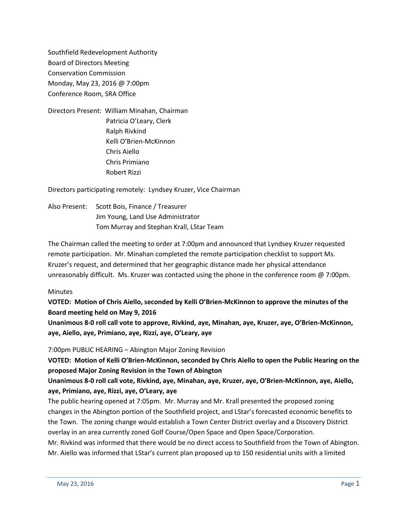Southfield Redevelopment Authority Board of Directors Meeting Conservation Commission Monday, May 23, 2016 @ 7:00pm Conference Room, SRA Office

Directors Present: William Minahan, Chairman Patricia O'Leary, Clerk Ralph Rivkind Kelli O'Brien-McKinnon Chris Aiello Chris Primiano Robert Rizzi

Directors participating remotely: Lyndsey Kruzer, Vice Chairman

Also Present: Scott Bois, Finance / Treasurer Jim Young, Land Use Administrator Tom Murray and Stephan Krall, LStar Team

The Chairman called the meeting to order at 7:00pm and announced that Lyndsey Kruzer requested remote participation. Mr. Minahan completed the remote participation checklist to support Ms. Kruzer's request, and determined that her geographic distance made her physical attendance unreasonably difficult. Ms. Kruzer was contacted using the phone in the conference room @ 7:00pm.

### **Minutes**

**VOTED: Motion of Chris Aiello, seconded by Kelli O'Brien-McKinnon to approve the minutes of the Board meeting held on May 9, 2016**

**Unanimous 8-0 roll call vote to approve, Rivkind, aye, Minahan, aye, Kruzer, aye, O'Brien-McKinnon, aye, Aiello, aye, Primiano, aye, Rizzi, aye, O'Leary, aye**

7:00pm PUBLIC HEARING – Abington Major Zoning Revision

**VOTED: Motion of Kelli O'Brien-McKinnon, seconded by Chris Aiello to open the Public Hearing on the proposed Major Zoning Revision in the Town of Abington**

**Unanimous 8-0 roll call vote, Rivkind, aye, Minahan, aye, Kruzer, aye, O'Brien-McKinnon, aye, Aiello, aye, Primiano, aye, Rizzi, aye, O'Leary, aye**

The public hearing opened at 7:05pm. Mr. Murray and Mr. Krall presented the proposed zoning changes in the Abington portion of the Southfield project, and LStar's forecasted economic benefits to the Town. The zoning change would establish a Town Center District overlay and a Discovery District overlay in an area currently zoned Golf Course/Open Space and Open Space/Corporation.

Mr. Rivkind was informed that there would be no direct access to Southfield from the Town of Abington. Mr. Aiello was informed that LStar's current plan proposed up to 150 residential units with a limited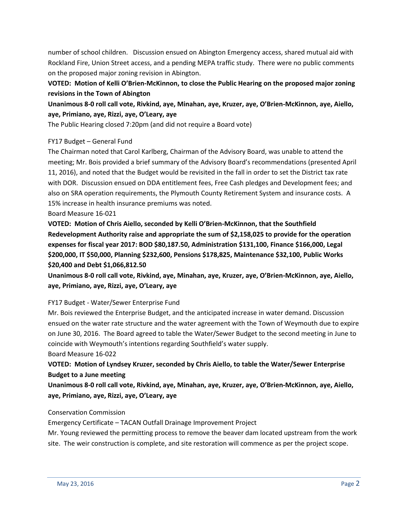number of school children. Discussion ensued on Abington Emergency access, shared mutual aid with Rockland Fire, Union Street access, and a pending MEPA traffic study. There were no public comments on the proposed major zoning revision in Abington.

**VOTED: Motion of Kelli O'Brien-McKinnon, to close the Public Hearing on the proposed major zoning revisions in the Town of Abington**

**Unanimous 8-0 roll call vote, Rivkind, aye, Minahan, aye, Kruzer, aye, O'Brien-McKinnon, aye, Aiello, aye, Primiano, aye, Rizzi, aye, O'Leary, aye**

The Public Hearing closed 7:20pm (and did not require a Board vote)

# FY17 Budget – General Fund

The Chairman noted that Carol Karlberg, Chairman of the Advisory Board, was unable to attend the meeting; Mr. Bois provided a brief summary of the Advisory Board's recommendations (presented April 11, 2016), and noted that the Budget would be revisited in the fall in order to set the District tax rate with DOR. Discussion ensued on DDA entitlement fees, Free Cash pledges and Development fees; and also on SRA operation requirements, the Plymouth County Retirement System and insurance costs. A 15% increase in health insurance premiums was noted.

## Board Measure 16-021

**VOTED: Motion of Chris Aiello, seconded by Kelli O'Brien-McKinnon, that the Southfield Redevelopment Authority raise and appropriate the sum of \$2,158,025 to provide for the operation expenses for fiscal year 2017: BOD \$80,187.50, Administration \$131,100, Finance \$166,000, Legal \$200,000, IT \$50,000, Planning \$232,600, Pensions \$178,825, Maintenance \$32,100, Public Works \$20,400 and Debt \$1,066,812.50**

**Unanimous 8-0 roll call vote, Rivkind, aye, Minahan, aye, Kruzer, aye, O'Brien-McKinnon, aye, Aiello, aye, Primiano, aye, Rizzi, aye, O'Leary, aye**

### FY17 Budget - Water/Sewer Enterprise Fund

Mr. Bois reviewed the Enterprise Budget, and the anticipated increase in water demand. Discussion ensued on the water rate structure and the water agreement with the Town of Weymouth due to expire on June 30, 2016. The Board agreed to table the Water/Sewer Budget to the second meeting in June to coincide with Weymouth's intentions regarding Southfield's water supply.

### Board Measure 16-022

**VOTED: Motion of Lyndsey Kruzer, seconded by Chris Aiello, to table the Water/Sewer Enterprise Budget to a June meeting**

**Unanimous 8-0 roll call vote, Rivkind, aye, Minahan, aye, Kruzer, aye, O'Brien-McKinnon, aye, Aiello, aye, Primiano, aye, Rizzi, aye, O'Leary, aye**

### Conservation Commission

Emergency Certificate – TACAN Outfall Drainage Improvement Project

Mr. Young reviewed the permitting process to remove the beaver dam located upstream from the work site. The weir construction is complete, and site restoration will commence as per the project scope.